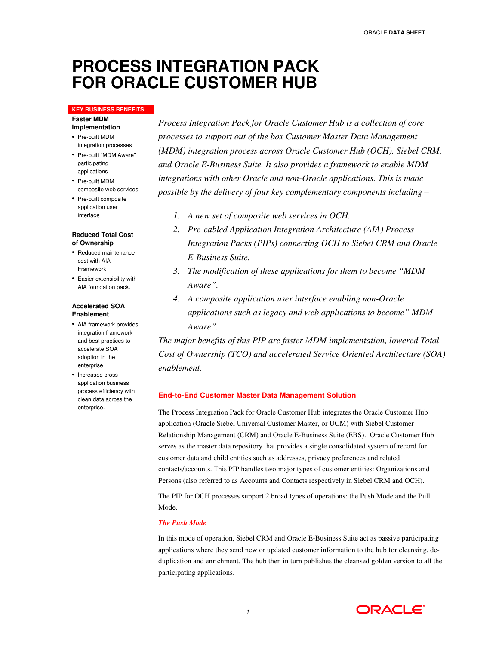# **PROCESS INTEGRATION PACK FOR ORACLE CUSTOMER HUB**

#### **KEY BUSINESS BENEFITS**

**Faster MDM Implementation** 

- Pre-built MDM integration processes
- Pre-built "MDM Aware" participating applications
- Pre-built MDM composite web services
- Pre-built composite application user interface

#### **Reduced Total Cost of Ownership**

- Reduced maintenance cost with AIA Framework
- Easier extensibility with AIA foundation pack.

#### **Accelerated SOA Enablement**

- AIA framework provides integration framework and best practices to accelerate SOA adoption in the enterprise
- Increased crossapplication business process efficiency with clean data across the enterprise.

*Process Integration Pack for Oracle Customer Hub is a collection of core processes to support out of the box Customer Master Data Management (MDM) integration process across Oracle Customer Hub (OCH), Siebel CRM, and Oracle E-Business Suite. It also provides a framework to enable MDM integrations with other Oracle and non-Oracle applications. This is made possible by the delivery of four key complementary components including –* 

- *1. A new set of composite web services in OCH.*
- *2. Pre-cabled Application Integration Architecture (AIA) Process Integration Packs (PIPs) connecting OCH to Siebel CRM and Oracle E-Business Suite.*
- *3. The modification of these applications for them to become "MDM Aware".*
- *4. A composite application user interface enabling non-Oracle applications such as legacy and web applications to become" MDM Aware".*

*The major benefits of this PIP are faster MDM implementation, lowered Total Cost of Ownership (TCO) and accelerated Service Oriented Architecture (SOA) enablement.* 

## **End-to-End Customer Master Data Management Solution**

The Process Integration Pack for Oracle Customer Hub integrates the Oracle Customer Hub application (Oracle Siebel Universal Customer Master, or UCM) with Siebel Customer Relationship Management (CRM) and Oracle E-Business Suite (EBS). Oracle Customer Hub serves as the master data repository that provides a single consolidated system of record for customer data and child entities such as addresses, privacy preferences and related contacts/accounts. This PIP handles two major types of customer entities: Organizations and Persons (also referred to as Accounts and Contacts respectively in Siebel CRM and OCH).

The PIP for OCH processes support 2 broad types of operations: the Push Mode and the Pull Mode.

### *The Push Mode*

In this mode of operation, Siebel CRM and Oracle E-Business Suite act as passive participating applications where they send new or updated customer information to the hub for cleansing, deduplication and enrichment. The hub then in turn publishes the cleansed golden version to all the participating applications.

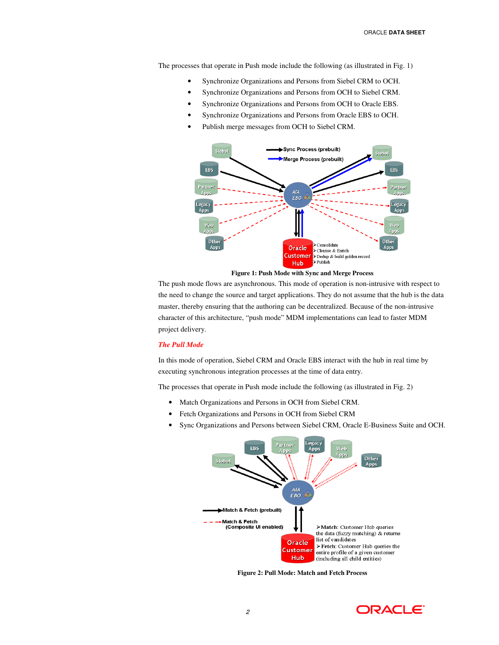The processes that operate in Push mode include the following (as illustrated in Fig. 1)

- Synchronize Organizations and Persons from Siebel CRM to OCH.
- Synchronize Organizations and Persons from OCH to Siebel CRM.
- Synchronize Organizations and Persons from OCH to Oracle EBS.
- Synchronize Organizations and Persons from Oracle EBS to OCH.
- Publish merge messages from OCH to Siebel CRM.



**Figure 1: Push Mode with Sync and Merge Process** 

The push mode flows are asynchronous. This mode of operation is non-intrusive with respect to the need to change the source and target applications. They do not assume that the hub is the data master, thereby ensuring that the authoring can be decentralized. Because of the non-intrusive character of this architecture, "push mode" MDM implementations can lead to faster MDM project delivery.

#### *The Pull Mode*

In this mode of operation, Siebel CRM and Oracle EBS interact with the hub in real time by executing synchronous integration processes at the time of data entry.

The processes that operate in Push mode include the following (as illustrated in Fig. 2)

- Match Organizations and Persons in OCH from Siebel CRM.
- Fetch Organizations and Persons in OCH from Siebel CRM
- Sync Organizations and Persons between Siebel CRM, Oracle E-Business Suite and OCH.



**Figure 2: Pull Mode: Match and Fetch Process** 

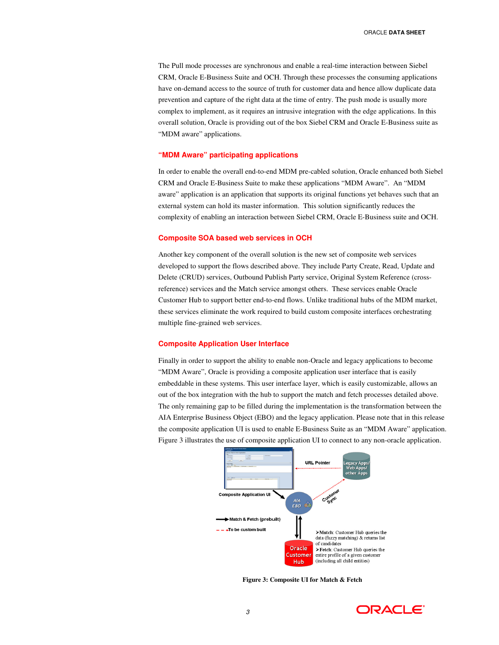The Pull mode processes are synchronous and enable a real-time interaction between Siebel CRM, Oracle E-Business Suite and OCH. Through these processes the consuming applications have on-demand access to the source of truth for customer data and hence allow duplicate data prevention and capture of the right data at the time of entry. The push mode is usually more complex to implement, as it requires an intrusive integration with the edge applications. In this overall solution, Oracle is providing out of the box Siebel CRM and Oracle E-Business suite as "MDM aware" applications.

#### **"MDM Aware" participating applications**

In order to enable the overall end-to-end MDM pre-cabled solution, Oracle enhanced both Siebel CRM and Oracle E-Business Suite to make these applications "MDM Aware". An "MDM aware" application is an application that supports its original functions yet behaves such that an external system can hold its master information. This solution significantly reduces the complexity of enabling an interaction between Siebel CRM, Oracle E-Business suite and OCH.

#### **Composite SOA based web services in OCH**

Another key component of the overall solution is the new set of composite web services developed to support the flows described above. They include Party Create, Read, Update and Delete (CRUD) services, Outbound Publish Party service, Original System Reference (crossreference) services and the Match service amongst others. These services enable Oracle Customer Hub to support better end-to-end flows. Unlike traditional hubs of the MDM market, these services eliminate the work required to build custom composite interfaces orchestrating multiple fine-grained web services.

#### **Composite Application User Interface**

Finally in order to support the ability to enable non-Oracle and legacy applications to become "MDM Aware", Oracle is providing a composite application user interface that is easily embeddable in these systems. This user interface layer, which is easily customizable, allows an out of the box integration with the hub to support the match and fetch processes detailed above. The only remaining gap to be filled during the implementation is the transformation between the AIA Enterprise Business Object (EBO) and the legacy application. Please note that in this release the composite application UI is used to enable E-Business Suite as an "MDM Aware" application. Figure 3 illustrates the use of composite application UI to connect to any non-oracle application.



**Figure 3: Composite UI for Match & Fetch**